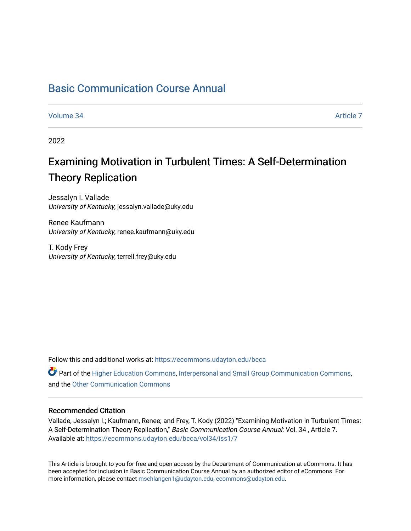## [Basic Communication Course Annual](https://ecommons.udayton.edu/bcca)

[Volume 34](https://ecommons.udayton.edu/bcca/vol34) [Article 7](https://ecommons.udayton.edu/bcca/vol34/iss1/7) 

2022

# Examining Motivation in Turbulent Times: A Self-Determination Theory Replication

Jessalyn I. Vallade University of Kentucky, jessalyn.vallade@uky.edu

Renee Kaufmann University of Kentucky, renee.kaufmann@uky.edu

T. Kody Frey University of Kentucky, terrell.frey@uky.edu

Follow this and additional works at: [https://ecommons.udayton.edu/bcca](https://ecommons.udayton.edu/bcca?utm_source=ecommons.udayton.edu%2Fbcca%2Fvol34%2Fiss1%2F7&utm_medium=PDF&utm_campaign=PDFCoverPages)

Part of the [Higher Education Commons,](http://network.bepress.com/hgg/discipline/1245?utm_source=ecommons.udayton.edu%2Fbcca%2Fvol34%2Fiss1%2F7&utm_medium=PDF&utm_campaign=PDFCoverPages) [Interpersonal and Small Group Communication Commons,](http://network.bepress.com/hgg/discipline/332?utm_source=ecommons.udayton.edu%2Fbcca%2Fvol34%2Fiss1%2F7&utm_medium=PDF&utm_campaign=PDFCoverPages) and the [Other Communication Commons](http://network.bepress.com/hgg/discipline/339?utm_source=ecommons.udayton.edu%2Fbcca%2Fvol34%2Fiss1%2F7&utm_medium=PDF&utm_campaign=PDFCoverPages) 

## Recommended Citation

Vallade, Jessalyn I.; Kaufmann, Renee; and Frey, T. Kody (2022) "Examining Motivation in Turbulent Times: A Self-Determination Theory Replication," Basic Communication Course Annual: Vol. 34 , Article 7. Available at: [https://ecommons.udayton.edu/bcca/vol34/iss1/7](https://ecommons.udayton.edu/bcca/vol34/iss1/7?utm_source=ecommons.udayton.edu%2Fbcca%2Fvol34%2Fiss1%2F7&utm_medium=PDF&utm_campaign=PDFCoverPages)

This Article is brought to you for free and open access by the Department of Communication at eCommons. It has been accepted for inclusion in Basic Communication Course Annual by an authorized editor of eCommons. For more information, please contact [mschlangen1@udayton.edu, ecommons@udayton.edu](mailto:mschlangen1@udayton.edu,%20ecommons@udayton.edu).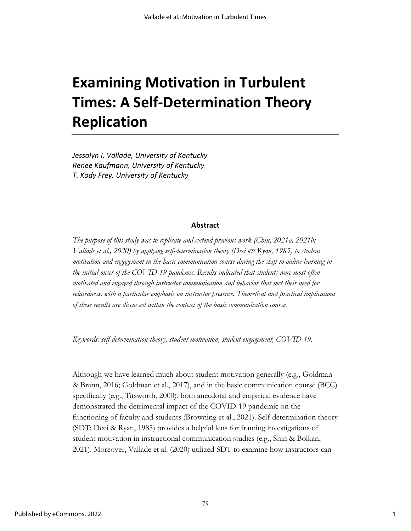# **Examining Motivation in Turbulent Times: A Self-Determination Theory Replication**

*Jessalyn I. Vallade, University of Kentucky Renee Kaufmann, University of Kentucky T. Kody Frey, University of Kentucky*

## **Abstract**

*The purpose of this study was to replicate and extend previous work (Chiu, 2021a, 2021b; Vallade et al., 2020) by applying self-determination theory (Deci & Ryan, 1985) to student motivation and engagement in the basic communication course during the shift to online learning in the initial onset of the COVID-19 pandemic. Results indicated that students were most often motivated and engaged through instructor communication and behavior that met their need for relatedness, with a particular emphasis on instructor presence. Theoretical and practical implications of these results are discussed within the context of the basic communication course.*

*Keywords: self-determination theory, student motivation, student engagement, COVID-19.*

Although we have learned much about student motivation generally (e.g., Goldman & Brann, 2016; Goldman et al., 2017), and in the basic communication course (BCC) specifically (e.g., Titsworth, 2000), both anecdotal and empirical evidence have demonstrated the detrimental impact of the COVID-19 pandemic on the functioning of faculty and students (Browning et al., 2021). Self-determination theory (SDT; Deci & Ryan, 1985) provides a helpful lens for framing investigations of student motivation in instructional communication studies (e.g., Shin & Bolkan, 2021). Moreover, Vallade et al. (2020) utilized SDT to examine how instructors can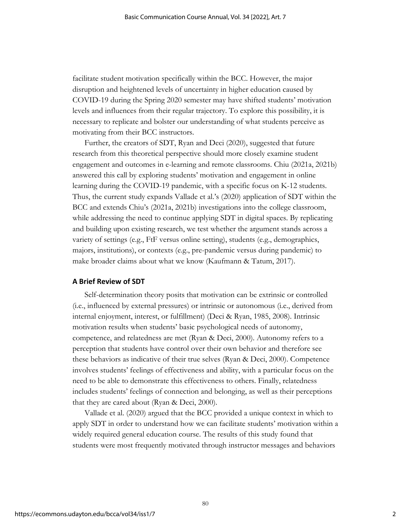facilitate student motivation specifically within the BCC. However, the major disruption and heightened levels of uncertainty in higher education caused by COVID-19 during the Spring 2020 semester may have shifted students' motivation levels and influences from their regular trajectory. To explore this possibility, it is necessary to replicate and bolster our understanding of what students perceive as motivating from their BCC instructors.

Further, the creators of SDT, Ryan and Deci (2020), suggested that future research from this theoretical perspective should more closely examine student engagement and outcomes in e-learning and remote classrooms. Chiu (2021a, 2021b) answered this call by exploring students' motivation and engagement in online learning during the COVID-19 pandemic, with a specific focus on K-12 students. Thus, the current study expands Vallade et al.'s (2020) application of SDT within the BCC and extends Chiu's (2021a, 2021b) investigations into the college classroom, while addressing the need to continue applying SDT in digital spaces. By replicating and building upon existing research, we test whether the argument stands across a variety of settings (e.g., FtF versus online setting), students (e.g., demographics, majors, institutions), or contexts (e.g., pre-pandemic versus during pandemic) to make broader claims about what we know (Kaufmann & Tatum, 2017).

## **A Brief Review of SDT**

Self-determination theory posits that motivation can be extrinsic or controlled (i.e., influenced by external pressures) or intrinsic or autonomous (i.e., derived from internal enjoyment, interest, or fulfillment) (Deci & Ryan, 1985, 2008). Intrinsic motivation results when students' basic psychological needs of autonomy, competence, and relatedness are met (Ryan & Deci, 2000). Autonomy refers to a perception that students have control over their own behavior and therefore see these behaviors as indicative of their true selves (Ryan & Deci, 2000). Competence involves students' feelings of effectiveness and ability, with a particular focus on the need to be able to demonstrate this effectiveness to others. Finally, relatedness includes students' feelings of connection and belonging, as well as their perceptions that they are cared about (Ryan & Deci, 2000).

Vallade et al. (2020) argued that the BCC provided a unique context in which to apply SDT in order to understand how we can facilitate students' motivation within a widely required general education course. The results of this study found that students were most frequently motivated through instructor messages and behaviors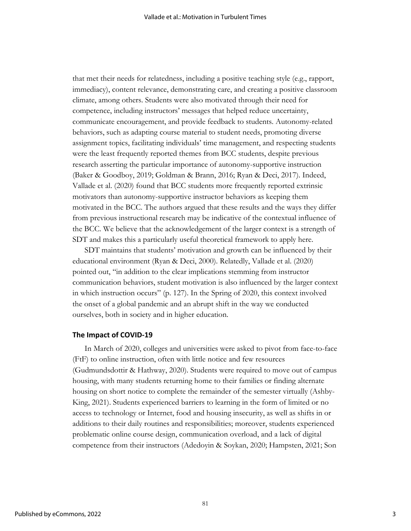that met their needs for relatedness, including a positive teaching style (e.g., rapport, immediacy), content relevance, demonstrating care, and creating a positive classroom climate, among others. Students were also motivated through their need for competence, including instructors' messages that helped reduce uncertainty, communicate encouragement, and provide feedback to students. Autonomy-related behaviors, such as adapting course material to student needs, promoting diverse assignment topics, facilitating individuals' time management, and respecting students were the least frequently reported themes from BCC students, despite previous research asserting the particular importance of autonomy-supportive instruction (Baker & Goodboy, 2019; Goldman & Brann, 2016; Ryan & Deci, 2017). Indeed, Vallade et al. (2020) found that BCC students more frequently reported extrinsic motivators than autonomy-supportive instructor behaviors as keeping them motivated in the BCC. The authors argued that these results and the ways they differ from previous instructional research may be indicative of the contextual influence of the BCC. We believe that the acknowledgement of the larger context is a strength of SDT and makes this a particularly useful theoretical framework to apply here.

SDT maintains that students' motivation and growth can be influenced by their educational environment (Ryan & Deci, 2000). Relatedly, Vallade et al. (2020) pointed out, "in addition to the clear implications stemming from instructor communication behaviors, student motivation is also influenced by the larger context in which instruction occurs" (p. 127). In the Spring of 2020, this context involved the onset of a global pandemic and an abrupt shift in the way we conducted ourselves, both in society and in higher education.

## **The Impact of COVID-19**

In March of 2020, colleges and universities were asked to pivot from face-to-face (FtF) to online instruction, often with little notice and few resources (Gudmundsdottir & Hathway, 2020). Students were required to move out of campus housing, with many students returning home to their families or finding alternate housing on short notice to complete the remainder of the semester virtually (Ashby-King, 2021). Students experienced barriers to learning in the form of limited or no access to technology or Internet, food and housing insecurity, as well as shifts in or additions to their daily routines and responsibilities; moreover, students experienced problematic online course design, communication overload, and a lack of digital competence from their instructors (Adedoyin & Soykan, 2020; Hampsten, 2021; Son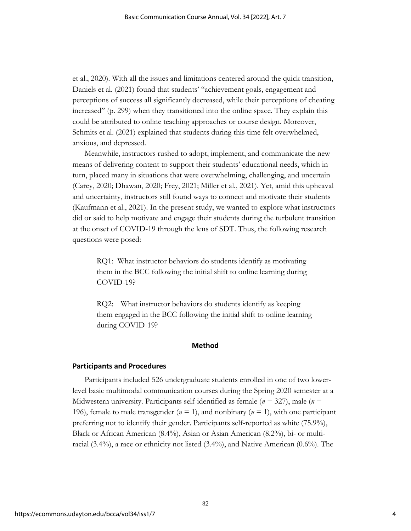et al., 2020). With all the issues and limitations centered around the quick transition, Daniels et al. (2021) found that students' "achievement goals, engagement and perceptions of success all significantly decreased, while their perceptions of cheating increased" (p. 299) when they transitioned into the online space. They explain this could be attributed to online teaching approaches or course design. Moreover, Schmits et al. (2021) explained that students during this time felt overwhelmed, anxious, and depressed.

Meanwhile, instructors rushed to adopt, implement, and communicate the new means of delivering content to support their students' educational needs, which in turn, placed many in situations that were overwhelming, challenging, and uncertain (Carey, 2020; Dhawan, 2020; Frey, 2021; Miller et al., 2021). Yet, amid this upheaval and uncertainty, instructors still found ways to connect and motivate their students (Kaufmann et al., 2021). In the present study, we wanted to explore what instructors did or said to help motivate and engage their students during the turbulent transition at the onset of COVID-19 through the lens of SDT. Thus, the following research questions were posed:

RQ1: What instructor behaviors do students identify as motivating them in the BCC following the initial shift to online learning during COVID-19?

RQ2: What instructor behaviors do students identify as keeping them engaged in the BCC following the initial shift to online learning during COVID-19?

## **Method**

## **Participants and Procedures**

Participants included 526 undergraduate students enrolled in one of two lowerlevel basic multimodal communication courses during the Spring 2020 semester at a Midwestern university. Participants self-identified as female (*n* = 327), male (*n* = 196), female to male transgender (*n* = 1), and nonbinary (*n* = 1), with one participant preferring not to identify their gender. Participants self-reported as white (75.9%), Black or African American (8.4%), Asian or Asian American (8.2%), bi- or multiracial (3.4%), a race or ethnicity not listed (3.4%), and Native American (0.6%). The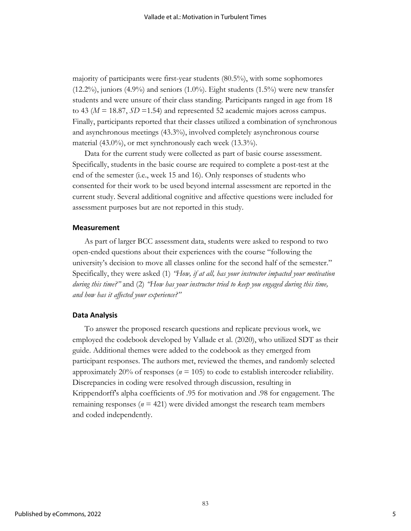majority of participants were first-year students (80.5%), with some sophomores  $(12.2\%)$ , juniors  $(4.9\%)$  and seniors  $(1.0\%)$ . Eight students  $(1.5\%)$  were new transfer students and were unsure of their class standing. Participants ranged in age from 18 to 43 ( $M = 18.87$ ,  $SD = 1.54$ ) and represented 52 academic majors across campus. Finally, participants reported that their classes utilized a combination of synchronous and asynchronous meetings (43.3%), involved completely asynchronous course material (43.0%), or met synchronously each week (13.3%).

Data for the current study were collected as part of basic course assessment. Specifically, students in the basic course are required to complete a post-test at the end of the semester (i.e., week 15 and 16). Only responses of students who consented for their work to be used beyond internal assessment are reported in the current study. Several additional cognitive and affective questions were included for assessment purposes but are not reported in this study.

#### **Measurement**

As part of larger BCC assessment data, students were asked to respond to two open-ended questions about their experiences with the course "following the university's decision to move all classes online for the second half of the semester." Specifically, they were asked (1) *"How, if at all, has your instructor impacted your motivation during this time?"* and (2) *"How has your instructor tried to keep you engaged during this time, and how has it affected your experience?"*

## **Data Analysis**

To answer the proposed research questions and replicate previous work, we employed the codebook developed by Vallade et al. (2020), who utilized SDT as their guide. Additional themes were added to the codebook as they emerged from participant responses. The authors met, reviewed the themes, and randomly selected approximately 20% of responses ( $n = 105$ ) to code to establish intercoder reliability. Discrepancies in coding were resolved through discussion, resulting in Krippendorff's alpha coefficients of .95 for motivation and .98 for engagement. The remaining responses ( $n = 421$ ) were divided amongst the research team members and coded independently.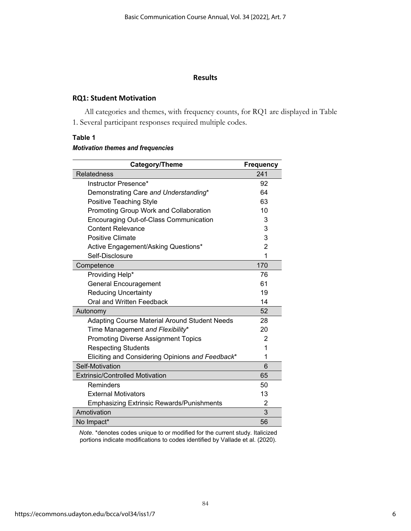## **Results**

## **RQ1: Student Motivation**

All categories and themes, with frequency counts, for RQ1 are displayed in Table 1. Several participant responses required multiple codes.

## **Table 1**

## *Motivation themes and frequencies*

| Category/Theme                                       | <b>Frequency</b> |
|------------------------------------------------------|------------------|
| <b>Relatedness</b>                                   | 241              |
| Instructor Presence*                                 | 92               |
| Demonstrating Care and Understanding*                | 64               |
| Positive Teaching Style                              | 63               |
| Promoting Group Work and Collaboration               | 10               |
| Encouraging Out-of-Class Communication               | 3                |
| <b>Content Relevance</b>                             | 3                |
| <b>Positive Climate</b>                              | 3                |
| Active Engagement/Asking Questions*                  | $\overline{2}$   |
| Self-Disclosure                                      | 1                |
| Competence                                           | 170              |
| Providing Help*                                      | 76               |
| <b>General Encouragement</b>                         | 61               |
| <b>Reducing Uncertainty</b>                          | 19               |
| Oral and Written Feedback                            | 14               |
| Autonomy                                             | 52               |
| <b>Adapting Course Material Around Student Needs</b> | 28               |
| Time Management and Flexibility*                     | 20               |
| <b>Promoting Diverse Assignment Topics</b>           | $\overline{2}$   |
| <b>Respecting Students</b>                           | 1                |
| Eliciting and Considering Opinions and Feedback*     | 1                |
| Self-Motivation                                      | 6                |
| <b>Extrinsic/Controlled Motivation</b>               | 65               |
| Reminders                                            | 50               |
| <b>External Motivators</b>                           | 13               |
| <b>Emphasizing Extrinsic Rewards/Punishments</b>     | $\overline{2}$   |
| Amotivation                                          | 3                |
| No Impact*                                           | 56               |

*Note*. \*denotes codes unique to or modified for the current study. Italicized portions indicate modifications to codes identified by Vallade et al. (2020).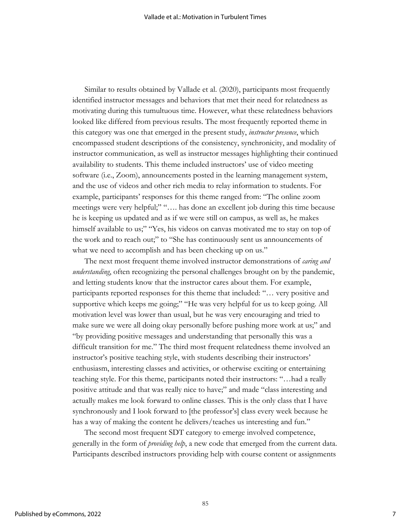Similar to results obtained by Vallade et al. (2020), participants most frequently identified instructor messages and behaviors that met their need for relatedness as motivating during this tumultuous time. However, what these relatedness behaviors looked like differed from previous results. The most frequently reported theme in this category was one that emerged in the present study, *instructor presence*, which encompassed student descriptions of the consistency, synchronicity, and modality of instructor communication, as well as instructor messages highlighting their continued availability to students. This theme included instructors' use of video meeting software (i.e., Zoom), announcements posted in the learning management system, and the use of videos and other rich media to relay information to students. For example, participants' responses for this theme ranged from: "The online zoom meetings were very helpful;" "…. has done an excellent job during this time because he is keeping us updated and as if we were still on campus, as well as, he makes himself available to us;" "Yes, his videos on canvas motivated me to stay on top of the work and to reach out;" to "She has continuously sent us announcements of what we need to accomplish and has been checking up on us."

The next most frequent theme involved instructor demonstrations of *caring and understanding*, often recognizing the personal challenges brought on by the pandemic, and letting students know that the instructor cares about them. For example, participants reported responses for this theme that included: "… very positive and supportive which keeps me going;" "He was very helpful for us to keep going. All motivation level was lower than usual, but he was very encouraging and tried to make sure we were all doing okay personally before pushing more work at us;" and "by providing positive messages and understanding that personally this was a difficult transition for me." The third most frequent relatedness theme involved an instructor's positive teaching style, with students describing their instructors' enthusiasm, interesting classes and activities, or otherwise exciting or entertaining teaching style. For this theme, participants noted their instructors: "…had a really positive attitude and that was really nice to have;" and made "class interesting and actually makes me look forward to online classes. This is the only class that I have synchronously and I look forward to [the professor's] class every week because he has a way of making the content he delivers/teaches us interesting and fun."

The second most frequent SDT category to emerge involved competence, generally in the form of *providing help*, a new code that emerged from the current data. Participants described instructors providing help with course content or assignments

85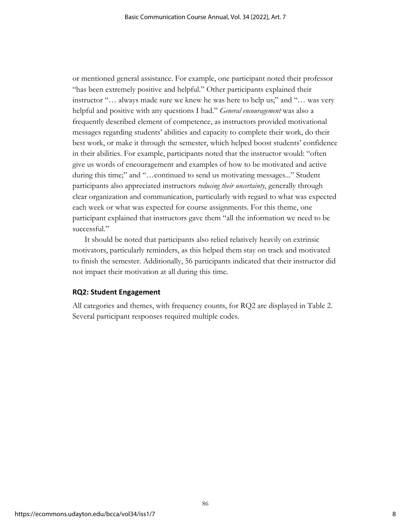or mentioned general assistance. For example, one participant noted their professor "has been extremely positive and helpful." Other participants explained their instructor "… always made sure we knew he was here to help us;" and "… was very helpful and positive with any questions I had." *General encouragement* was also a frequently described element of competence, as instructors provided motivational messages regarding students' abilities and capacity to complete their work, do their best work, or make it through the semester, which helped boost students' confidence in their abilities. For example, participants noted that the instructor would: "often give us words of encouragement and examples of how to be motivated and active during this time;" and "…continued to send us motivating messages..." Student participants also appreciated instructors *reducing their uncertainty*, generally through clear organization and communication, particularly with regard to what was expected each week or what was expected for course assignments. For this theme, one participant explained that instructors gave them "all the information we need to be successful."

It should be noted that participants also relied relatively heavily on extrinsic motivators, particularly reminders, as this helped them stay on track and motivated to finish the semester. Additionally, 56 participants indicated that their instructor did not impact their motivation at all during this time.

## **RQ2: Student Engagement**

All categories and themes, with frequency counts, for RQ2 are displayed in Table 2. Several participant responses required multiple codes.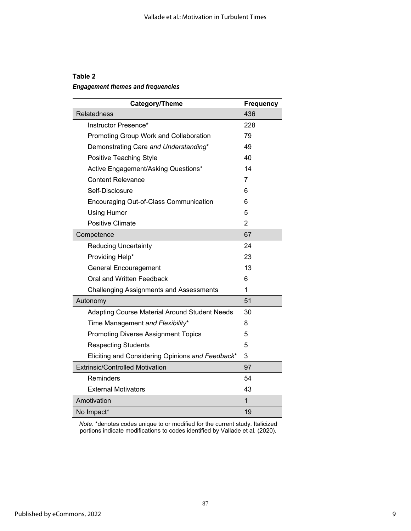## **Table 2**

## *Engagement themes and frequencies*

| Category/Theme                                   | Frequency      |
|--------------------------------------------------|----------------|
| <b>Relatedness</b>                               | 436            |
| Instructor Presence*                             | 228            |
| Promoting Group Work and Collaboration           | 79             |
| Demonstrating Care and Understanding*            | 49             |
| Positive Teaching Style                          | 40             |
| Active Engagement/Asking Questions*              | 14             |
| <b>Content Relevance</b>                         | 7              |
| Self-Disclosure                                  | 6              |
| Encouraging Out-of-Class Communication           | 6              |
| <b>Using Humor</b>                               | 5              |
| <b>Positive Climate</b>                          | $\overline{2}$ |
| Competence                                       | 67             |
| <b>Reducing Uncertainty</b>                      | 24             |
| Providing Help*                                  | 23             |
| <b>General Encouragement</b>                     | 13             |
| Oral and Written Feedback                        | 6              |
| <b>Challenging Assignments and Assessments</b>   | 1              |
| Autonomy                                         | 51             |
| Adapting Course Material Around Student Needs    | 30             |
| Time Management and Flexibility*                 | 8              |
| <b>Promoting Diverse Assignment Topics</b>       | 5              |
| <b>Respecting Students</b>                       | 5              |
| Eliciting and Considering Opinions and Feedback* | 3              |
| <b>Extrinsic/Controlled Motivation</b>           | 97             |
| Reminders                                        | 54             |
| <b>External Motivators</b>                       | 43             |
| Amotivation                                      | 1              |
| No Impact*                                       | 19             |

*Note*. \*denotes codes unique to or modified for the current study. Italicized portions indicate modifications to codes identified by Vallade et al. (2020).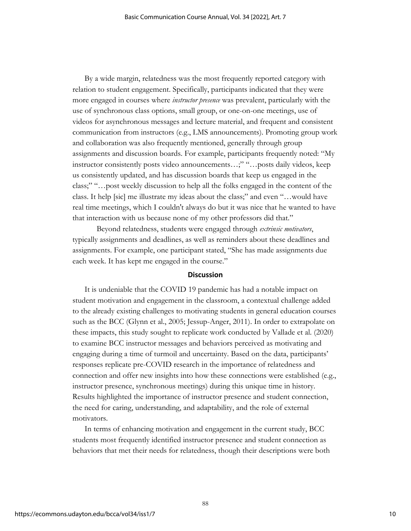By a wide margin, relatedness was the most frequently reported category with relation to student engagement. Specifically, participants indicated that they were more engaged in courses where *instructor presence* was prevalent, particularly with the use of synchronous class options, small group, or one-on-one meetings, use of videos for asynchronous messages and lecture material, and frequent and consistent communication from instructors (e.g., LMS announcements). Promoting group work and collaboration was also frequently mentioned, generally through group assignments and discussion boards. For example, participants frequently noted: "My instructor consistently posts video announcements…;" "…posts daily videos, keep us consistently updated, and has discussion boards that keep us engaged in the class;" "…post weekly discussion to help all the folks engaged in the content of the class. It help [sic] me illustrate my ideas about the class;" and even "…would have real time meetings, which I couldn't always do but it was nice that he wanted to have that interaction with us because none of my other professors did that."

Beyond relatedness, students were engaged through *extrinsic motivators*, typically assignments and deadlines, as well as reminders about these deadlines and assignments. For example, one participant stated, "She has made assignments due each week. It has kept me engaged in the course."

#### **Discussion**

It is undeniable that the COVID 19 pandemic has had a notable impact on student motivation and engagement in the classroom, a contextual challenge added to the already existing challenges to motivating students in general education courses such as the BCC (Glynn et al., 2005; Jessup-Anger, 2011). In order to extrapolate on these impacts, this study sought to replicate work conducted by Vallade et al. (2020) to examine BCC instructor messages and behaviors perceived as motivating and engaging during a time of turmoil and uncertainty. Based on the data, participants' responses replicate pre-COVID research in the importance of relatedness and connection and offer new insights into how these connections were established (e.g., instructor presence, synchronous meetings) during this unique time in history. Results highlighted the importance of instructor presence and student connection, the need for caring, understanding, and adaptability, and the role of external motivators.

In terms of enhancing motivation and engagement in the current study, BCC students most frequently identified instructor presence and student connection as behaviors that met their needs for relatedness, though their descriptions were both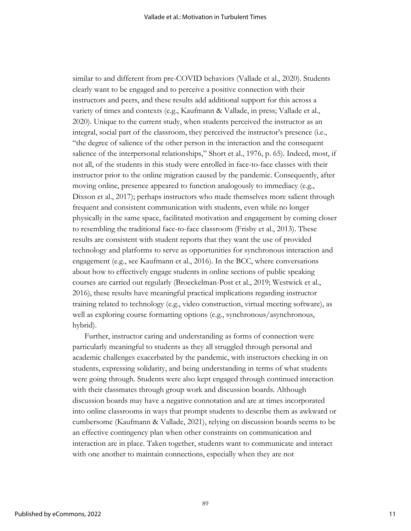similar to and different from pre-COVID behaviors (Vallade et al., 2020). Students clearly want to be engaged and to perceive a positive connection with their instructors and peers, and these results add additional support for this across a variety of times and contexts (e.g., Kaufmann & Vallade, in press; Vallade et al., 2020). Unique to the current study, when students perceived the instructor as an integral, social part of the classroom, they perceived the instructor's presence (i.e., "the degree of salience of the other person in the interaction and the consequent salience of the interpersonal relationships," Short et al., 1976, p. 65). Indeed, most, if not all, of the students in this study were enrolled in face-to-face classes with their instructor prior to the online migration caused by the pandemic. Consequently, after moving online, presence appeared to function analogously to immediacy (e.g., Dixson et al., 2017); perhaps instructors who made themselves more salient through frequent and consistent communication with students, even while no longer physically in the same space, facilitated motivation and engagement by coming closer to resembling the traditional face-to-face classroom (Frisby et al., 2013). These results are consistent with student reports that they want the use of provided technology and platforms to serve as opportunities for synchronous interaction and engagement (e.g., see Kaufmann et al., 2016). In the BCC, where conversations about how to effectively engage students in online sections of public speaking courses are carried out regularly (Broeckelman-Post et al., 2019; Westwick et al., 2016), these results have meaningful practical implications regarding instructor training related to technology (e.g., video construction, virtual meeting software), as well as exploring course formatting options (e.g., synchronous/asynchronous, hybrid).

Further, instructor caring and understanding as forms of connection were particularly meaningful to students as they all struggled through personal and academic challenges exacerbated by the pandemic, with instructors checking in on students, expressing solidarity, and being understanding in terms of what students were going through. Students were also kept engaged through continued interaction with their classmates through group work and discussion boards. Although discussion boards may have a negative connotation and are at times incorporated into online classrooms in ways that prompt students to describe them as awkward or cumbersome (Kaufmann & Vallade, 2021), relying on discussion boards seems to be an effective contingency plan when other constraints on communication and interaction are in place. Taken together, students want to communicate and interact with one another to maintain connections, especially when they are not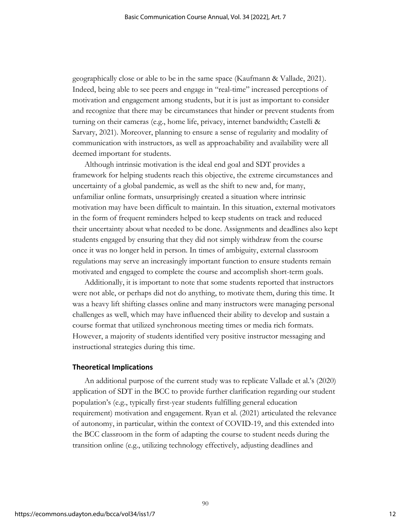geographically close or able to be in the same space (Kaufmann & Vallade, 2021). Indeed, being able to see peers and engage in "real-time" increased perceptions of motivation and engagement among students, but it is just as important to consider and recognize that there may be circumstances that hinder or prevent students from turning on their cameras (e.g., home life, privacy, internet bandwidth; Castelli & Sarvary, 2021). Moreover, planning to ensure a sense of regularity and modality of communication with instructors, as well as approachability and availability were all deemed important for students.

Although intrinsic motivation is the ideal end goal and SDT provides a framework for helping students reach this objective, the extreme circumstances and uncertainty of a global pandemic, as well as the shift to new and, for many, unfamiliar online formats, unsurprisingly created a situation where intrinsic motivation may have been difficult to maintain. In this situation, external motivators in the form of frequent reminders helped to keep students on track and reduced their uncertainty about what needed to be done. Assignments and deadlines also kept students engaged by ensuring that they did not simply withdraw from the course once it was no longer held in person. In times of ambiguity, external classroom regulations may serve an increasingly important function to ensure students remain motivated and engaged to complete the course and accomplish short-term goals.

Additionally, it is important to note that some students reported that instructors were not able, or perhaps did not do anything, to motivate them, during this time. It was a heavy lift shifting classes online and many instructors were managing personal challenges as well, which may have influenced their ability to develop and sustain a course format that utilized synchronous meeting times or media rich formats. However, a majority of students identified very positive instructor messaging and instructional strategies during this time.

## **Theoretical Implications**

An additional purpose of the current study was to replicate Vallade et al.'s (2020) application of SDT in the BCC to provide further clarification regarding our student population's (e.g., typically first-year students fulfilling general education requirement) motivation and engagement. Ryan et al. (2021) articulated the relevance of autonomy, in particular, within the context of COVID-19, and this extended into the BCC classroom in the form of adapting the course to student needs during the transition online (e.g., utilizing technology effectively, adjusting deadlines and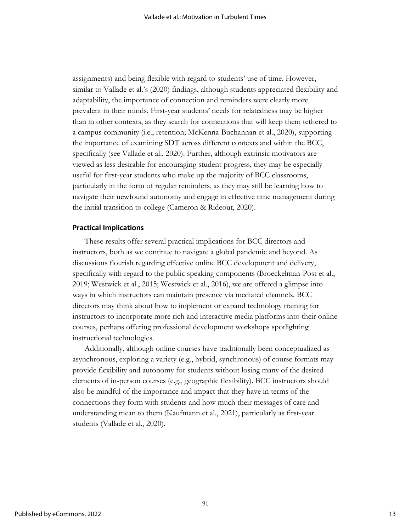assignments) and being flexible with regard to students' use of time. However, similar to Vallade et al.'s (2020) findings, although students appreciated flexibility and adaptability, the importance of connection and reminders were clearly more prevalent in their minds. First-year students' needs for relatedness may be higher than in other contexts, as they search for connections that will keep them tethered to a campus community (i.e., retention; McKenna-Buchannan et al., 2020), supporting the importance of examining SDT across different contexts and within the BCC, specifically (see Vallade et al., 2020). Further, although extrinsic motivators are viewed as less desirable for encouraging student progress, they may be especially useful for first-year students who make up the majority of BCC classrooms, particularly in the form of regular reminders, as they may still be learning how to navigate their newfound autonomy and engage in effective time management during the initial transition to college (Cameron & Rideout, 2020).

#### **Practical Implications**

These results offer several practical implications for BCC directors and instructors, both as we continue to navigate a global pandemic and beyond. As discussions flourish regarding effective online BCC development and delivery, specifically with regard to the public speaking components (Broeckelman-Post et al., 2019; Westwick et al., 2015; Westwick et al., 2016), we are offered a glimpse into ways in which instructors can maintain presence via mediated channels. BCC directors may think about how to implement or expand technology training for instructors to incorporate more rich and interactive media platforms into their online courses, perhaps offering professional development workshops spotlighting instructional technologies.

Additionally, although online courses have traditionally been conceptualized as asynchronous, exploring a variety (e.g., hybrid, synchronous) of course formats may provide flexibility and autonomy for students without losing many of the desired elements of in-person courses (e.g., geographic flexibility). BCC instructors should also be mindful of the importance and impact that they have in terms of the connections they form with students and how much their messages of care and understanding mean to them (Kaufmann et al., 2021), particularly as first-year students (Vallade et al., 2020).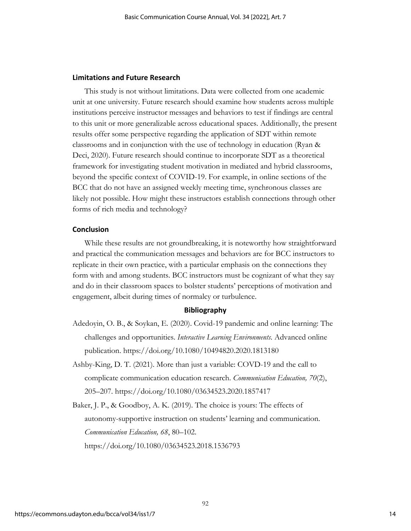## **Limitations and Future Research**

This study is not without limitations. Data were collected from one academic unit at one university. Future research should examine how students across multiple institutions perceive instructor messages and behaviors to test if findings are central to this unit or more generalizable across educational spaces. Additionally, the present results offer some perspective regarding the application of SDT within remote classrooms and in conjunction with the use of technology in education (Ryan & Deci, 2020). Future research should continue to incorporate SDT as a theoretical framework for investigating student motivation in mediated and hybrid classrooms, beyond the specific context of COVID-19. For example, in online sections of the BCC that do not have an assigned weekly meeting time, synchronous classes are likely not possible. How might these instructors establish connections through other forms of rich media and technology?

## **Conclusion**

While these results are not groundbreaking, it is noteworthy how straightforward and practical the communication messages and behaviors are for BCC instructors to replicate in their own practice, with a particular emphasis on the connections they form with and among students. BCC instructors must be cognizant of what they say and do in their classroom spaces to bolster students' perceptions of motivation and engagement, albeit during times of normalcy or turbulence.

## **Bibliography**

- Adedoyin, O. B., & Soykan, E. (2020). Covid-19 pandemic and online learning: The challenges and opportunities. *Interactive Learning Environments*. Advanced online publication. https://doi.org/10.1080/10494820.2020.1813180
- Ashby-King, D. T. (2021). More than just a variable: COVD-19 and the call to complicate communication education research. *Communication Education, 70*(2), 205–207. https://doi.org/10.1080/03634523.2020.1857417

Baker, J. P., & Goodboy, A. K. (2019). The choice is yours: The effects of autonomy-supportive instruction on students' learning and communication. *Communication Education, 68*, 80–102. https://doi.org/10.1080/03634523.2018.1536793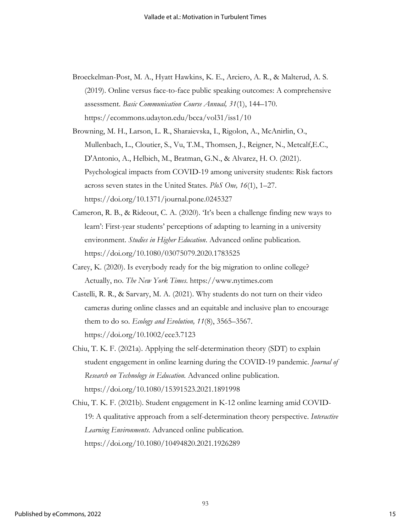Broeckelman-Post, M. A., Hyatt Hawkins, K. E., Arciero, A. R., & Malterud, A. S. (2019). Online versus face-to-face public speaking outcomes: A comprehensive assessment. *Basic Communication Course Annual, 31*(1), 144–170. https://ecommons.udayton.edu/bcca/vol31/iss1/10

Browning, M. H., Larson, L. R., Sharaievska, I., Rigolon, A., McAnirlin, O., Mullenbach, L., Cloutier, S., Vu, T.M., Thomsen, J., Reigner, N., Metcalf,E.C., D'Antonio, A., Helbich, M., Bratman, G.N., & Alvarez, H. O. (2021). Psychological impacts from COVID-19 among university students: Risk factors across seven states in the United States. *PloS One, 16*(1), 1–27. https://doi.org/10.1371/journal.pone.0245327

- Cameron, R. B., & Rideout, C. A. (2020). 'It's been a challenge finding new ways to learn': First-year students' perceptions of adapting to learning in a university environment. *Studies in Higher Education*. Advanced online publication. https://doi.org/10.1080/03075079.2020.1783525
- Carey, K. (2020). Is everybody ready for the big migration to online college? Actually, no. *The New York Times*. https://www.nytimes.com
- Castelli, R. R., & Sarvary, M. A. (2021). Why students do not turn on their video cameras during online classes and an equitable and inclusive plan to encourage them to do so. *Ecology and Evolution, 11*(8), 3565–3567. https://doi.org/10.1002/ece3.7123
- Chiu, T. K. F. (2021a). Applying the self-determination theory (SDT) to explain student engagement in online learning during the COVID-19 pandemic. *Journal of Research on Technology in Education.* Advanced online publication. https://doi.org/10.1080/15391523.2021.1891998

Chiu, T. K. F. (2021b). Student engagement in K-12 online learning amid COVID-19: A qualitative approach from a self-determination theory perspective. *Interactive Learning Environments*. Advanced online publication. https://doi.org/10.1080/10494820.2021.1926289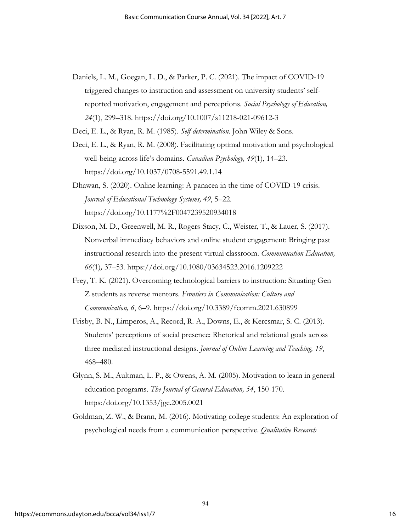- Daniels, L. M., Goegan, L. D., & Parker, P. C. (2021). The impact of COVID-19 triggered changes to instruction and assessment on university students' selfreported motivation, engagement and perceptions. *Social Psychology of Education, 24*(1), 299–318. https://doi.org/10.1007/s11218-021-09612-3
- Deci, E. L., & Ryan, R. M. (1985). *Self-determination*. John Wiley & Sons.
- Deci, E. L., & Ryan, R. M. (2008). Facilitating optimal motivation and psychological well-being across life's domains. *Canadian Psychology, 49*(1), 14–23. https://doi.org/10.1037/0708-5591.49.1.14
- Dhawan, S. (2020). Online learning: A panacea in the time of COVID-19 crisis. *Journal of Educational Technology Systems, 49*, 5–22. https://doi.org/10.1177%2F0047239520934018
- Dixson, M. D., Greenwell, M. R., Rogers-Stacy, C., Weister, T., & Lauer, S. (2017). Nonverbal immediacy behaviors and online student engagement: Bringing past instructional research into the present virtual classroom. *Communication Education, 66*(1)*,* 37–53*.* https://doi.org/10.1080/03634523.2016.1209222
- Frey, T. K. (2021). Overcoming technological barriers to instruction: Situating Gen Z students as reverse mentors. *Frontiers in Communication: Culture and Communication, 6*, 6–9. https://doi.org/10.3389/fcomm.2021.630899
- Frisby, B. N., Limperos, A., Record, R. A., Downs, E., & Kercsmar, S. C. (2013). Students' perceptions of social presence: Rhetorical and relational goals across three mediated instructional designs. *Journal of Online Learning and Teaching, 19*, 468–480.
- Glynn, S. M., Aultman, L. P., & Owens, A. M. (2005). Motivation to learn in general education programs. *The Journal of General Education, 54*, 150-170. https:/doi.org/10.1353/jge.2005.0021
- Goldman, Z. W., & Brann, M. (2016). Motivating college students: An exploration of psychological needs from a communication perspective. *Qualitative Research*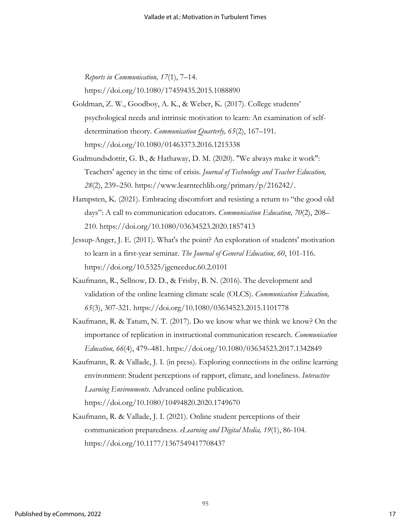*Reports in Communication, 17*(1), 7–14.

https://doi.org/10.1080/17459435.2015.1088890

- Goldman, Z. W., Goodboy, A. K., & Weber, K. (2017). College students' psychological needs and intrinsic motivation to learn: An examination of selfdetermination theory. *Communication Quarterly, 65*(2), 167–191. https://doi.org/10.1080/01463373.2016.1215338
- Gudmundsdottir, G. B., & Hathaway, D. M. (2020). "We always make it work": Teachers' agency in the time of crisis. *Journal of Technology and Teacher Education, 28*(2), 239–250. https://www.learntechlib.org/primary/p/216242/.
- Hampsten, K. (2021). Embracing discomfort and resisting a return to "the good old days": A call to communication educators. *Communication Education, 70*(2), 208– 210. https://doi.org/10.1080/03634523.2020.1857413
- Jessup-Anger, J. E. (2011). What's the point? An exploration of students' motivation to learn in a first-year seminar. *The Journal of General Education, 60*, 101-116. https://doi.org/10.5325/jgeneeduc.60.2.0101
- Kaufmann, R., Sellnow, D. D., & Frisby, B. N. (2016). The development and validation of the online learning climate scale (OLCS). *Communication Education, 65*(3), 307-321. https://doi.org/10.1080/03634523.2015.1101778
- Kaufmann, R. & Tatum, N. T. (2017). Do we know what we think we know? On the importance of replication in instructional communication research. *Communication Education, 66*(4), 479–481. https://doi.org/10.1080/03634523.2017.1342849
- Kaufmann, R. & Vallade, J. I. (in press). Exploring connections in the online learning environment: Student perceptions of rapport, climate, and loneliness. *Interactive Learning Environments*. Advanced online publication. https://doi.org/10.1080/10494820.2020.1749670
- Kaufmann, R. & Vallade, J. I. (2021). Online student perceptions of their communication preparedness. *eLearning and Digital Media, 19*(1), 86-104. https://doi.org/10.1177/1367549417708437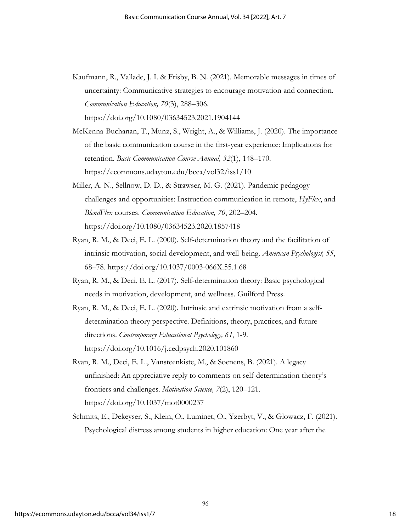Kaufmann, R., Vallade, J. I. & Frisby, B. N. (2021). Memorable messages in times of uncertainty: Communicative strategies to encourage motivation and connection. *Communication Education, 70*(3), 288–306.

https://doi.org/10.1080/03634523.2021.1904144

- McKenna-Buchanan, T., Munz, S., Wright, A., & Williams, J. (2020). The importance of the basic communication course in the first-year experience: Implications for retention. *Basic Communication Course Annual, 32*(1), 148–170. https://ecommons.udayton.edu/bcca/vol32/iss1/10
- Miller, A. N., Sellnow, D. D., & Strawser, M. G. (2021). Pandemic pedagogy challenges and opportunities: Instruction communication in remote, *HyFlex*, and *BlendFlex* courses. *Communication Education, 70*, 202–204. https://doi.org/10.1080/03634523.2020.1857418
- Ryan, R. M., & Deci, E. L. (2000). Self-determination theory and the facilitation of intrinsic motivation, social development, and well-being. *American Psychologist, 55*, 68–78. https://doi.org/10.1037/0003-066X.55.1.68
- Ryan, R. M., & Deci, E. L. (2017). Self-determination theory: Basic psychological needs in motivation, development, and wellness. Guilford Press.
- Ryan, R. M., & Deci, E. L. (2020). Intrinsic and extrinsic motivation from a selfdetermination theory perspective. Definitions, theory, practices, and future directions. *Contemporary Educational Psychology, 61*, 1-9. https://doi.org/10.1016/j.cedpsych.2020.101860
- Ryan, R. M., Deci, E. L., Vansteenkiste, M., & Soenens, B. (2021). A legacy unfinished: An appreciative reply to comments on self-determination theory's frontiers and challenges. *Motivation Science, 7*(2), 120–121. https://doi.org/10.1037/mot0000237
- Schmits, E., Dekeyser, S., Klein, O., Luminet, O., Yzerbyt, V., & Glowacz, F. (2021). Psychological distress among students in higher education: One year after the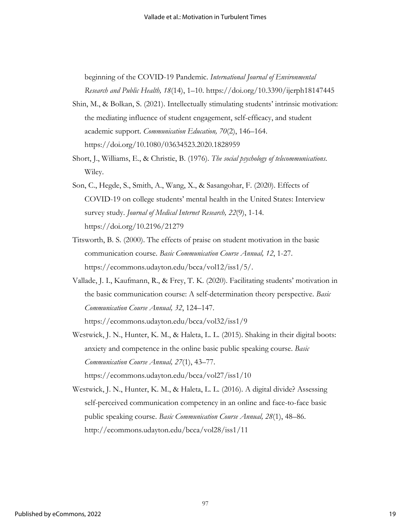beginning of the COVID-19 Pandemic. *International Journal of Environmental Research and Public Health, 18*(14), 1–10. https://doi.org/10.3390/ijerph18147445

- Shin, M., & Bolkan, S. (2021). Intellectually stimulating students' intrinsic motivation: the mediating influence of student engagement, self-efficacy, and student academic support. *Communication Education, 70*(2), 146–164. https://doi.org/10.1080/03634523.2020.1828959
- Short, J., Williams, E., & Christie, B. (1976). *The social psychology of telecommunications*. Wiley.
- Son, C., Hegde, S., Smith, A., Wang, X., & Sasangohar, F. (2020). Effects of COVID-19 on college students' mental health in the United States: Interview survey study. *Journal of Medical Internet Research, 22*(9), 1-14. https://doi.org/10.2196/21279
- Titsworth, B. S. (2000). The effects of praise on student motivation in the basic communication course. *Basic Communication Course Annual, 12*, 1-27. https://ecommons.udayton.edu/bcca/vol12/iss1/5/.
- Vallade, J. I., Kaufmann, R., & Frey, T. K. (2020). Facilitating students' motivation in the basic communication course: A self-determination theory perspective. *Basic Communication Course Annual, 32*, 124–147.

https://ecommons.udayton.edu/bcca/vol32/iss1/9

- Westwick, J. N., Hunter, K. M., & Haleta, L. L. (2015). Shaking in their digital boots: anxiety and competence in the online basic public speaking course. *Basic Communication Course Annual, 27*(1), 43–77. https://ecommons.udayton.edu/bcca/vol27/iss1/10
- Westwick, J. N., Hunter, K. M., & Haleta, L. L. (2016). A digital divide? Assessing self-perceived communication competency in an online and face-to-face basic public speaking course. *Basic Communication Course Annual, 28*(1), 48–86. http://ecommons.udayton.edu/bcca/vol28/iss1/11